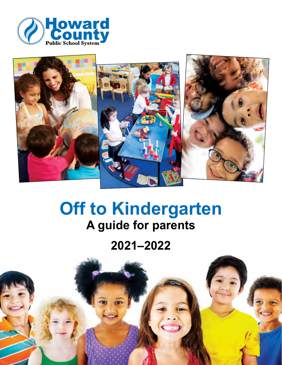



# **Off to Kindergarten A guide for parents**

**2021–2022**

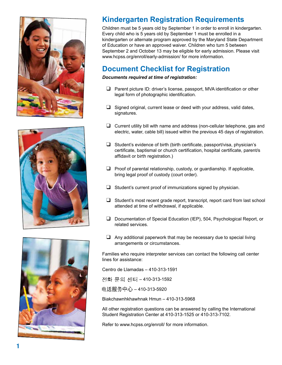





# **Kindergarten Registration Requirements**

Children must be 5 years old by September 1 in order to enroll in kindergarten. Every child who is 5 years old by September 1 must be enrolled in a kindergarten or alternate program approved by the Maryland State Department of Education or have an approved waiver. Children who turn 5 between September 2 and October 13 may be eligible for early admission. Please visit www.hcpss.org/enroll/early-admission/ for more information.

# **Document Checklist for Registration**

### *Documents required at time of registration:*

- $\Box$  Parent picture ID: driver's license, passport, MVA identification or other legal form of photographic identification.
- $\Box$  Signed original, current lease or deed with your address, valid dates, signatures.
- $\Box$  Current utility bill with name and address (non-cellular telephone, gas and electric, water, cable bill) issued within the previous 45 days of registration.
- $\Box$  Student's evidence of birth (birth certificate, passport/visa, physician's certificate, baptismal or church certification, hospital certificate, parent/s affidavit or birth registration.)
- $\Box$  Proof of parental relationship, custody, or quardianship. If applicable, bring legal proof of custody (court order).
- $\Box$  Student's current proof of immunizations signed by physician.
- $\Box$  Student's most recent grade report, transcript, report card from last school attended at time of withdrawal, if applicable.
- $\Box$  Documentation of Special Education (IEP), 504, Psychological Report, or related services.
- $\Box$  Any additional paperwork that may be necessary due to special living arrangements or circumstances.

Families who require interpreter services can contact the following call center lines for assistance:

Centro de Llamadas – 410-313-1591

전화 문의 센터 - 410-313-1592

电话服务中心 - 410-313-5920

Biakchawnhkhawhnak Hmun – 410-313-5968

All other registration questions can be answered by calling the International Student Registration Center at 410-313-1525 or 410-313-7102.

Refer to www.hcpss.org/enroll/ for more information.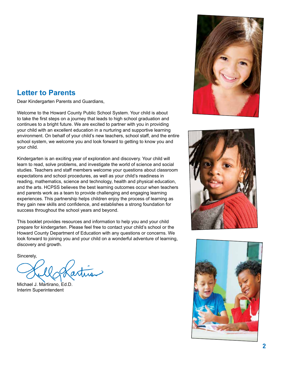# **Letter to Parents**

Dear Kindergarten Parents and Guardians,

Welcome to the Howard County Public School System. Your child is about to take the first steps on a journey that leads to high school graduation and continues to a bright future. We are excited to partner with you in providing your child with an excellent education in a nurturing and supportive learning environment. On behalf of your child's new teachers, school staff, and the entire school system, we welcome you and look forward to getting to know you and your child.

Kindergarten is an exciting year of exploration and discovery. Your child will learn to read, solve problems, and investigate the world of science and social studies. Teachers and staff members welcome your questions about classroom expectations and school procedures, as well as your child's readiness in reading, mathematics, science and technology, health and physical education, and the arts. HCPSS believes the best learning outcomes occur when teachers and parents work as a team to provide challenging and engaging learning experiences. This partnership helps children enjoy the process of learning as they gain new skills and confidence, and establishes a strong foundation for success throughout the school years and beyond.

This booklet provides resources and information to help you and your child prepare for kindergarten. Please feel free to contact your child's school or the Howard County Department of Education with any questions or concerns. We look forward to joining you and your child on a wonderful adventure of learning, discovery and growth.

Sincerely,

Michael J. Martirano, Ed.D. Interim Superintendent





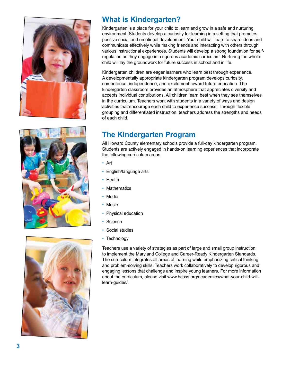

![](_page_3_Picture_1.jpeg)

![](_page_3_Picture_2.jpeg)

# **What is Kindergarten?**

Kindergarten is a place for your child to learn and grow in a safe and nurturing environment. Students develop a curiosity for learning in a setting that promotes positive social and emotional development. Your child will learn to share ideas and communicate effectively while making friends and interacting with others through various instructional experiences. Students will develop a strong foundation for selfregulation as they engage in a rigorous academic curriculum. Nurturing the whole child will lay the groundwork for future success in school and in life.

Kindergarten children are eager learners who learn best through experience. A developmentally appropriate kindergarten program develops curiosity, competence, independence, and excitement toward future education. The kindergarten classroom provides an atmosphere that appreciates diversity and accepts individual contributions. All children learn best when they see themselves in the curriculum. Teachers work with students in a variety of ways and design activities that encourage each child to experience success. Through flexible grouping and differentiated instruction, teachers address the strengths and needs of each child.

# **The Kindergarten Program**

All Howard County elementary schools provide a full-day kindergarten program. Students are actively engaged in hands-on learning experiences that incorporate the following curriculum areas:

- Art
- English/language arts
- Health
- Mathematics
- Media
- Music
- Physical education
- Science
- Social studies
- Technology

Teachers use a variety of strategies as part of large and small group instruction to implement the Maryland College and Career-Ready Kindergarten Standards. The curriculum integrates all areas of learning while emphasizing critical thinking and problem-solving skills. Teachers work collaboratively to develop rigorous and engaging lessons that challenge and inspire young learners. For more information about the curriculum, please visit www.hcpss.org/academics/what-your-child-willlearn-guides/.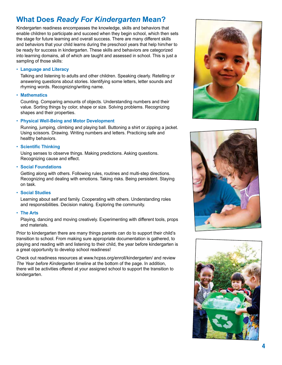# **What Does** *Ready For Kindergarten* **Mean?**

Kindergarten readiness encompasses the knowledge, skills and behaviors that enable children to participate and succeed when they begin school, which then sets the stage for future learning and overall success. There are many different skills and behaviors that your child learns during the preschool years that help him/her to be ready for success in kindergarten. These skills and behaviors are categorized into learning domains, all of which are taught and assessed in school. This is just a sampling of those skills:

#### • **Language and Literacy**

Talking and listening to adults and other children. Speaking clearly. Retelling or answering questions about stories. Identifying some letters, letter sounds and rhyming words. Recognizing/writing name.

#### • **Mathematics**

Counting. Comparing amounts of objects. Understanding numbers and their value. Sorting things by color, shape or size. Solving problems. Recognizing shapes and their properties.

#### • **Physical Well-Being and Motor Development**

Running, jumping, climbing and playing ball. Buttoning a shirt or zipping a jacket. Using scissors. Drawing. Writing numbers and letters. Practicing safe and healthy behaviors.

#### • **Scientific Thinking**

Using senses to observe things. Making predictions. Asking questions. Recognizing cause and effect.

• **Social Foundations** 

Getting along with others. Following rules, routines and multi-step directions. Recognizing and dealing with emotions. Taking risks. Being persistent. Staying on task.

#### • **Social Studies**

Learning about self and family. Cooperating with others. Understanding roles and responsibilities. Decision making. Exploring the community.

#### • **The Arts**

Playing, dancing and moving creatively. Experimenting with different tools, props and materials.

Prior to kindergarten there are many things parents can do to support their child's transition to school. From making sure appropriate documentation is gathered, to playing and reading with and listening to their child, the year before kindergarten is a great opportunity to develop school readiness!

Check out readiness resources at www.hcpss.org/enroll/kindergarten/ and review *The Year before Kindergarten* timeline at the bottom of the page. In addition, there will be activities offered at your assigned school to support the transition to kindergarten.

![](_page_4_Picture_18.jpeg)

![](_page_4_Picture_19.jpeg)

![](_page_4_Picture_20.jpeg)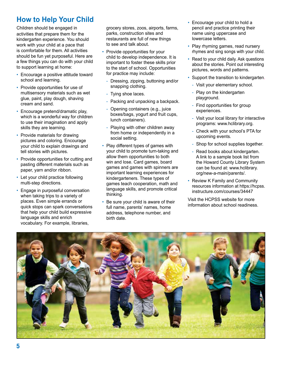# **How to Help Your Child**

Children should be engaged in activities that prepare them for the kindergarten experience. You should work with your child at a pace that is comfortable for them. All activities should be fun yet purposeful. Here are a few things you can do with your child to support learning at home:

- Encourage a positive attitude toward school and learning.
- Provide opportunities for use of multisensory materials such as wet glue, paint, play dough, shaving cream and sand.
- Encourage pretend/dramatic play, which is a wonderful way for children to use their imagination and apply skills they are learning.
- Provide materials for drawing pictures and coloring. Encourage your child to explain drawings and tell stories with pictures.
- Provide opportunities for cutting and pasting different materials such as paper, yarn and/or ribbon.
- Let your child practice following multi-step directions.
- Engage in purposeful conversation when taking trips to a variety of places. Even simple errands or quick stops can spark conversations that help your child build expressive language skills and enrich vocabulary. For example, libraries,

grocery stores, zoos, airports, farms, parks, construction sites and restaurants are full of new things to see and talk about.

- Provide opportunities for your child to develop independence. It is important to foster these skills prior to the start of school. Opportunities for practice may include:
	- Dressing, zipping, buttoning and/or snapping clothing.
	- Tying shoe laces.
	- Packing and unpacking a backpack.
	- Opening containers (e.g., juice boxes/bags, yogurt and fruit cups, lunch containers).
	- Playing with other children away from home or independently in a social setting.
- Play different types of games with your child to promote turn-taking and allow them opportunities to both win and lose. Card games, board games and games with spinners are important learning experiences for kindergarteners. These types of games teach cooperation, math and language skills, and promote critical thinking.
- Be sure your child is aware of their full name, parents' names, home address, telephone number, and birth date.
- Encourage your child to hold a pencil and practice printing their name using uppercase and lowercase letters.
- Play rhyming games, read nursery rhymes and sing songs with your child.
- Read to your child daily. Ask questions about the stories. Point out interesting pictures, words and patterns.
- Support the transition to kindergarten.
	- Visit your elementary school.
- Play on the kindergarten playground.
- Find opportunities for group experiences.
- Visit your local library for interactive programs: www.hclibrary.org.
- Check with your school's PTA for upcoming events.
- Shop for school supplies together.
- Read books about kindergarten. A link to a sample book list from the Howard County Library System can be found at: www.hclibrary. org/new-a-main/parents/.
- Review K Family and Community resources information at https://hcpss. instructure.com/courses/34447

Visit the HCPSS website for more information about school readiness.

![](_page_5_Picture_31.jpeg)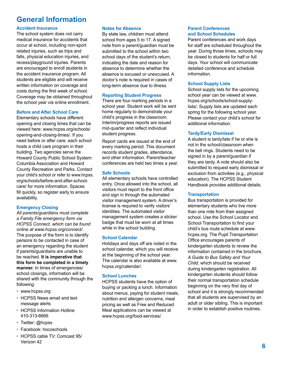# **General Information**

### **Accident Insurance**

The school system does not carry medical insurance for accidents that occur at school, including non-sport related injuries, such as trips and falls, physical education injuries, and recess/playground injuries. Parents are encouraged to enroll students in the accident insurance program. All students are eligible and will receive written information on coverage and costs during the first week of school. Coverage may be obtained throughout the school year via online enrollment.

#### **Before and After School Care**

Elementary schools have different opening and closing times that can be viewed here: www.hcpss.org/schools/ opening-and-closing-times/. If you need before or after care, each school hosts a child care program in their building. Two agencies serve the Howard County Public School System: Columbia Association and Howard County Recreation and Parks. Contact your child's school or refer to www.hcpss. org/schools/before-and-after-schoolcare/ for more information. Spaces fill quickly, so register early to ensure availability.

#### **Emergency Closing**

*All parents/guardians must complete a Family File emergency form via HCPSS Connect, which can be found online at www.hcpss.org/connect/.* The purpose of the form is to identify persons to be contacted in case of an emergency regarding the student if parents/guardians are unable to be reached. **It is imperative that this form be completed in a timely manner.** In times of emergencies/ school closings, information will be shared with the community through the following:

- www.hcpss.org
- HCPSS News email and text message alerts
- HCPSS Information Hotline 410-313-6666
- Twitter: @hcpss
- Facebook: hocoschools
- HCPSS cable TV: Comcast 95/ Verizon 42

#### **Notes for Absence**

By state law, children must attend school from ages 5 to 17. A signed note from a parent/guardian must be submitted to the school within two school days of the student's return, indicating the date and reason for absence to determine whether the absence is excused or unexcused. A doctor's note is required in cases of long-term absence due to illness.

#### **Reporting Student Progress**

There are four marking periods in a school year. Student work will be sent home regularly to demonstrate your child's progress in the classroom. Interim/progress reports are issued mid-quarter and reflect individual student progress.

Report cards are issued at the end of every marking period. This document records student grades, attendance, and other information. Parent/teacher conferences are held two times a year.

### **Safe Schools**

All elementary schools have controlled entry. Once allowed into the school, all visitors must report to the front office and sign in through the automated visitor management system. A driver's license is required to verify visitors' identities. The automated visitor management system creates a sticker badge that must be worn at all times while in the school building.

#### **School Calendar**

Holidays and days off are noted in the school calendar, which you will receive at the beginning of the school year. The calendar is also available at www. hcpss.org/calendar/.

### **School Lunches**

HCPSS students have the option of buying or packing a lunch. Information about menus, paying for student meals, nutrition and allergen concerns, meal pricing as well as Free and Reduced Meal applications can be viewed at www.hcpss.org/food-services/.

#### **Parent Conferences and School Schedules**

Parent conferences and work days for staff are scheduled throughout the year. During those times, schools may be closed to students for half or full days. Your school will communicate detailed conference and schedule information.

### **School Supply Lists**

School supply lists for the upcoming school year can be viewed at www. hcpss.org/schools/school-supplylists/. Supply lists are updated each spring for the following school year. Please contact your child's school for additional information.

### **Tardy/Early Dismissal**

A student is tardy/late if he or she is not in the school/classroom when the bell rings. Students need to be signed in by a parent/guardian if they are tardy. A note should also be submitted to request early dismissal or exclusion from activities (e.g., physical education). The HCPSS Student Handbook provides additional details.

#### **Transportation**

Bus transportation is provided for elementary students who live more than one mile from their assigned school. Use the School Locator and School Transportation to find your child's bus route schedule at www. hcpss.org. The Pupil Transportation Office encourages parents of kindergarten students to review the information contained in the brochure, *A Guide to Bus Safety and Your Child*, which should be received during kindergarten registration. All kindergarten students should follow their normal transportation schedule beginning on the very first day of school and it is strongly recommended that all students are supervised by an adult or older sibling. This is important in order to establish positive routines.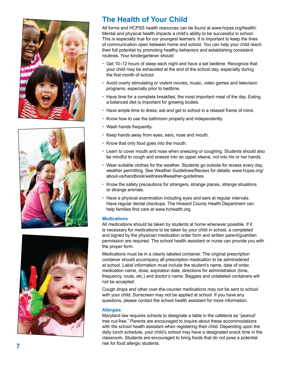![](_page_7_Picture_0.jpeg)

![](_page_7_Picture_1.jpeg)

![](_page_7_Picture_2.jpeg)

# **The Health of Your Child**

All forms and HCPSS health resources can be found at www.hcpss.org/health/. Mental and physical health impacts a child's ability to be successful in school. This is especially true for our youngest learners. It is important to keep the lines of communication open between home and school. You can help your child reach their full potential by promoting healthy behaviors and establishing consistent routines. Your kindergartener should:

- Get 10–12 hours of sleep each night and have a set bedtime. Recognize that your child may be exhausted at the end of the school day, especially during the first month of school.
- Avoid overly stimulating or violent movies, music, video games and television programs, especially prior to bedtime.
- Have time for a complete breakfast, the most important meal of the day. Eating a balanced diet is important for growing bodies.
- Have ample time to dress, eat and get to school in a relaxed frame of mind.
- Know how to use the bathroom properly and independently.<br>• Wash hands frequently.
- 
- Keep hands away from eyes, ears, nose and mouth.
- Know that only food goes into the mouth.
- Learn to cover mouth and nose when sneezing or coughing. Students should also be mindful to cough and sneeze into an upper sleeve, not into his or her hands.
- Wear suitable clothes for the weather. Students go outside for recess every day, weather permitting. See Weather Guidelines/Recess for details: www.hcpss.org/ about-us/handbook/wellness/#weather-guidelines.
- Know the safety precautions for strangers, strange places, strange situations or strange animals.
- Have a physical examination including eyes and ears at regular intervals. Have regular dental checkups. The Howard County Health Department can help families find care at www.hchealth.org.

#### **Medications**

All medications should be taken by students at home whenever possible. If it is necessary for medications to be taken by your child in school, a completed and signed by the physician medication order form and written parent/guardian permission are required. The school health assistant or nurse can provide you with the proper form.

Medications must be in a clearly labeled container. The original prescription container should accompany all prescription medication to be administered at school. Label information must include the student's name, date of order, medication name, dose, expiration date, directions for administration (time, frequency, route, etc.) and doctor's name. Baggies and unlabeled containers will not be accepted.

Cough drops and other over-the-counter medications may not be sent to school with your child. Sunscreen may not be applied at school. If you have any questions, please contact the school health assistant for more information.

#### **Allergies**

Maryland law requires schools to designate a table in the cafeteria as "peanut/ tree nut-free." Parents are encouraged to inquire about these accommodations with the school health assistant when registering their child. Depending upon the daily lunch schedule, your child's school may have a designated snack time in the classroom. Students are encouraged to bring foods that do not pose a potential risk for food allergic students.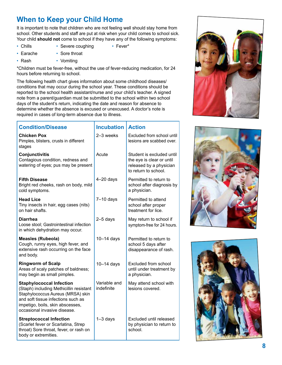# **When to Keep your Child Home**

It is important to note that children who are not feeling well should stay home from school. Other students and staff are put at risk when your child comes to school sick. Your child **should not** come to school if they have any of the following symptoms:

- Chills Severe coughing Fever\*
- Earache Sore throat
- Rash Vomiting

\*Children must be fever-free, without the use of fever-reducing medication, for 24 hours before returning to school.

The following health chart gives information about some childhood diseases/ conditions that may occur during the school year. These conditions should be reported to the school health assistant/nurse and your child's teacher. A signed note from a parent/guardian must be submitted to the school within two school days of the student's return, indicating the date and reason for absence to determine whether the absence is excused or unexcused. A doctor's note is required in cases of long-term absence due to illness.

| <b>Condition/Disease</b>                                                                                                                                                                                                  | <b>Incubation</b>          | <b>Action</b>                                                                                             |
|---------------------------------------------------------------------------------------------------------------------------------------------------------------------------------------------------------------------------|----------------------------|-----------------------------------------------------------------------------------------------------------|
| Chicken Pox<br>Pimples, blisters, crusts in different<br>stages                                                                                                                                                           | 2-3 weeks                  | Excluded from school until<br>lesions are scabbed over.                                                   |
| Conjunctivitis<br>Contagious condition, redness and<br>watering of eyes; pus may be present                                                                                                                               | Acute                      | Student is excluded until<br>the eye is clear or until<br>released by a physician<br>to return to school. |
| <b>Fifth Disease</b><br>Bright red cheeks, rash on body, mild<br>cold symptoms.                                                                                                                                           | $4-20$ days                | Permitted to return to<br>school after diagnosis by<br>a physician.                                       |
| <b>Head Lice</b><br>Tiny insects in hair, egg cases (nits)<br>on hair shafts.                                                                                                                                             | $7-10$ days                | Permitted to attend<br>school after proper<br>treatment for lice.                                         |
| <b>Diarrhea</b><br>Loose stool; Gastrointestinal infection<br>in which dehydration may occur.                                                                                                                             | $2-5$ days                 | May return to school if<br>symptom-free for 24 hours.                                                     |
| <b>Measles (Rubeola)</b><br>Cough, runny eyes, high fever, and<br>extensive rash occurring on the face<br>and body.                                                                                                       | $10-14$ days               | Permitted to return to<br>school 5 days after<br>disappearance of rash.                                   |
| <b>Ringworm of Scalp</b><br>Areas of scaly patches of baldness;<br>may begin as small pimples.                                                                                                                            | $10-14$ days               | Excluded from school<br>until under treatment by<br>a physician.                                          |
| <b>Staphylococcal Infection</b><br>(Staph) including Methicillin resistant<br>Staphylococcus Aureus (MRSA) skin<br>and soft tissue infections such as<br>impetigo, boils, skin abscesses,<br>occasional invasive disease. | Variable and<br>indefinite | May attend school with<br>lesions covered.                                                                |
| <b>Streptococcal Infection</b><br>(Scarlet fever or Scarlatina, Strep<br>throat) Sore throat, fever, or rash on<br>body or extremities.                                                                                   | $1-3$ days                 | Excluded until released<br>by physician to return to<br>school.                                           |

![](_page_8_Picture_8.jpeg)

![](_page_8_Picture_9.jpeg)

![](_page_8_Picture_10.jpeg)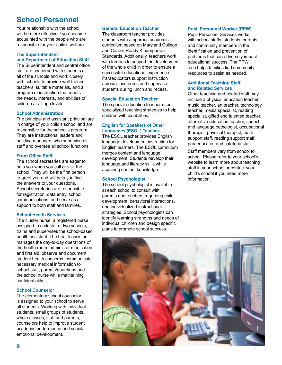# **School Personnel**

Your relationship with the school will be more effective if you become acquainted with the people who are responsible for your child's welfare.

### **The Superintendent and Department of Education Staff**

The Superintendent and central office staff are concerned with students at all of the schools and work closely with schools to provide well-trained teachers, suitable materials, and a program of instruction that meets the needs, interests, and abilities of children at all age levels.

#### **School Administration**

The principal and assistant principal are in charge of your child's school and are responsible for the school's program. They are instructional leaders and building managers who supervise all staff and oversee all school functions.

### **Front Office Staff**

The school secretaries are eager to help you when you call or visit the school. They will be the first person to greet you and will help you find the answers to your questions. School secretaries are responsible for registration, data entry, school communications, and serve as a support to both staff and families.

#### **School Health Services**

The cluster nurse, a registered nurse assigned to a cluster of two schools, trains and supervises the school-based health assistant. The health assistant manages the day-to-day operations of the health room: administer medication and first aid, observe and document student health concerns, communicate necessary medical information to school staff, parents/guardians and the school nurse while maintaining confidentiality.

### **School Counselor**

The elementary school counselor is assigned to your school to serve all students. Working with individual students, small groups of students, whole classes, staff and parents, counselors help to improve student academic performance and social/ emotional development.

#### **General Education Teacher**

The classroom teacher provides students with a rigorous academic curriculum based on Maryland College and Career-Ready Kindergarten Standards. Additionally, teachers work with families to support the development of the whole child in order to ensure a successful educational experience. Paraeducators support instruction across classrooms and supervise students during lunch and recess.

#### **Special Education Teacher**

The special education teacher uses specialized teaching strategies to help children with disabilities.

### **English for Speakers of Other Languages (ESOL) Teacher**

The ESOL teacher provides English language development instruction for English learners. The ESOL curriculum merges content and language development. Students develop their language and literacy skills while acquiring content knowledge.

### **School Psychologist**

The school psychologist is available at each school to consult with parents and teachers regarding child development, behavioral interactions, and individualized instructional strategies. School psychologists can identify learning strengths and needs of individual children and design specific plans to promote school success.

### **Pupil Personnel Worker (PPW)**

Pupil Personnel Services works with school staffs, students, parents and community members in the identification and prevention of problems that can adversely impact educational success. The PPW also helps families find community resources to assist as needed.

#### **Additional Teaching Staff and Related Services**

Other teaching and related staff may include a physical education teacher, music teacher, art teacher, technology teacher, media specialist, reading specialist, gifted and talented teacher, alternative education teacher, speech and language pathologist, occupational therapist, physical therapist, math support staff, reading support staff, paraeducator, and cafeteria staff.

Staff members vary from school to school. Please refer to your school's website to learn more about teaching staff in your school or contact your child's school if you need more information.

![](_page_9_Picture_25.jpeg)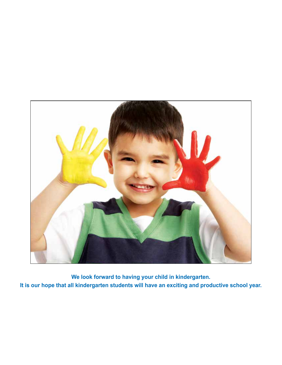![](_page_10_Picture_0.jpeg)

**We look forward to having your child in kindergarten. It is our hope that all kindergarten students will have an exciting and productive school year.**